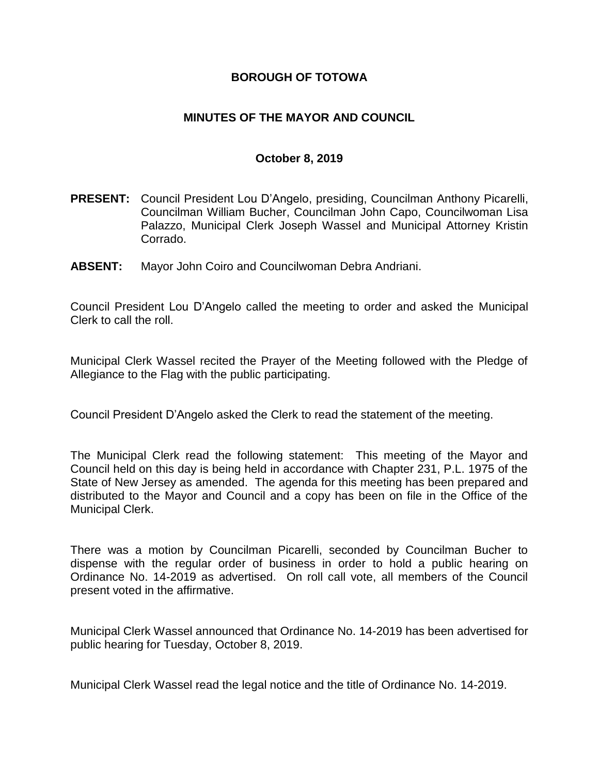## **BOROUGH OF TOTOWA**

## **MINUTES OF THE MAYOR AND COUNCIL**

#### **October 8, 2019**

- **PRESENT:** Council President Lou D'Angelo, presiding, Councilman Anthony Picarelli, Councilman William Bucher, Councilman John Capo, Councilwoman Lisa Palazzo, Municipal Clerk Joseph Wassel and Municipal Attorney Kristin Corrado.
- **ABSENT:** Mayor John Coiro and Councilwoman Debra Andriani.

Council President Lou D'Angelo called the meeting to order and asked the Municipal Clerk to call the roll.

Municipal Clerk Wassel recited the Prayer of the Meeting followed with the Pledge of Allegiance to the Flag with the public participating.

Council President D'Angelo asked the Clerk to read the statement of the meeting.

The Municipal Clerk read the following statement: This meeting of the Mayor and Council held on this day is being held in accordance with Chapter 231, P.L. 1975 of the State of New Jersey as amended. The agenda for this meeting has been prepared and distributed to the Mayor and Council and a copy has been on file in the Office of the Municipal Clerk.

There was a motion by Councilman Picarelli, seconded by Councilman Bucher to dispense with the regular order of business in order to hold a public hearing on Ordinance No. 14-2019 as advertised. On roll call vote, all members of the Council present voted in the affirmative.

Municipal Clerk Wassel announced that Ordinance No. 14-2019 has been advertised for public hearing for Tuesday, October 8, 2019.

Municipal Clerk Wassel read the legal notice and the title of Ordinance No. 14-2019.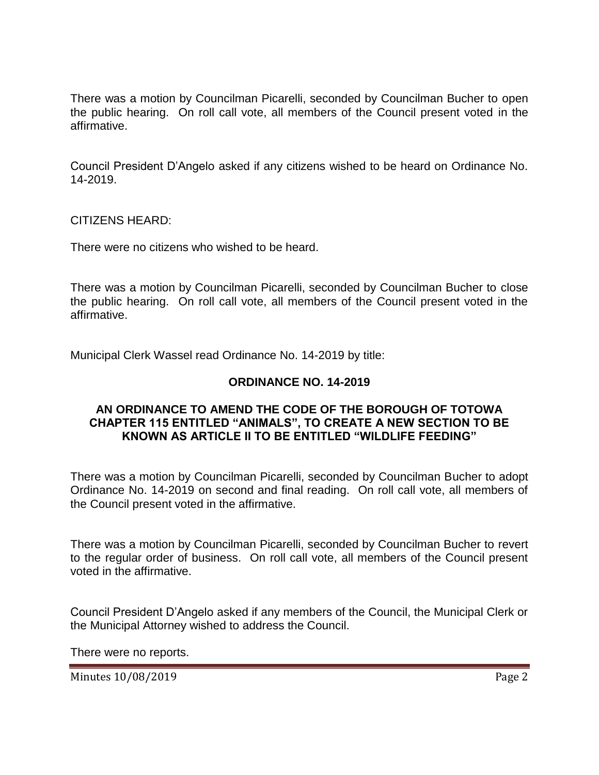There was a motion by Councilman Picarelli, seconded by Councilman Bucher to open the public hearing. On roll call vote, all members of the Council present voted in the affirmative.

Council President D'Angelo asked if any citizens wished to be heard on Ordinance No. 14-2019.

CITIZENS HEARD:

There were no citizens who wished to be heard.

There was a motion by Councilman Picarelli, seconded by Councilman Bucher to close the public hearing. On roll call vote, all members of the Council present voted in the affirmative.

Municipal Clerk Wassel read Ordinance No. 14-2019 by title:

#### **ORDINANCE NO. 14-2019**

### **AN ORDINANCE TO AMEND THE CODE OF THE BOROUGH OF TOTOWA CHAPTER 115 ENTITLED "ANIMALS", TO CREATE A NEW SECTION TO BE KNOWN AS ARTICLE II TO BE ENTITLED "WILDLIFE FEEDING"**

There was a motion by Councilman Picarelli, seconded by Councilman Bucher to adopt Ordinance No. 14-2019 on second and final reading. On roll call vote, all members of the Council present voted in the affirmative.

There was a motion by Councilman Picarelli, seconded by Councilman Bucher to revert to the regular order of business. On roll call vote, all members of the Council present voted in the affirmative.

Council President D'Angelo asked if any members of the Council, the Municipal Clerk or the Municipal Attorney wished to address the Council.

There were no reports.

Minutes 10/08/2019 **Page 2**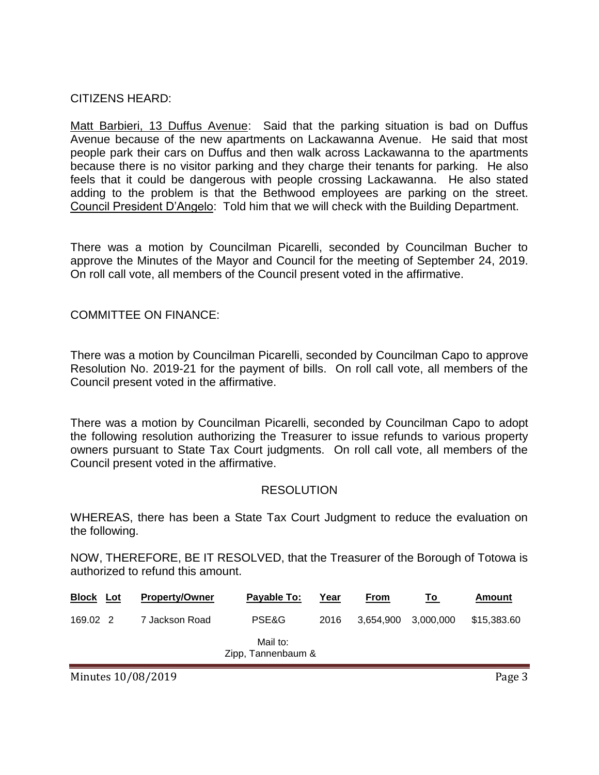CITIZENS HEARD:

Matt Barbieri, 13 Duffus Avenue: Said that the parking situation is bad on Duffus Avenue because of the new apartments on Lackawanna Avenue. He said that most people park their cars on Duffus and then walk across Lackawanna to the apartments because there is no visitor parking and they charge their tenants for parking. He also feels that it could be dangerous with people crossing Lackawanna. He also stated adding to the problem is that the Bethwood employees are parking on the street. Council President D'Angelo: Told him that we will check with the Building Department.

There was a motion by Councilman Picarelli, seconded by Councilman Bucher to approve the Minutes of the Mayor and Council for the meeting of September 24, 2019. On roll call vote, all members of the Council present voted in the affirmative.

COMMITTEE ON FINANCE:

There was a motion by Councilman Picarelli, seconded by Councilman Capo to approve Resolution No. 2019-21 for the payment of bills. On roll call vote, all members of the Council present voted in the affirmative.

There was a motion by Councilman Picarelli, seconded by Councilman Capo to adopt the following resolution authorizing the Treasurer to issue refunds to various property owners pursuant to State Tax Court judgments. On roll call vote, all members of the Council present voted in the affirmative.

### RESOLUTION

WHEREAS, there has been a State Tax Court Judgment to reduce the evaluation on the following.

NOW, THEREFORE, BE IT RESOLVED, that the Treasurer of the Borough of Totowa is authorized to refund this amount.

| <b>Block Lot</b> | <b>Property/Owner</b> | Payable To:                    | Year | <b>From</b>         | To | Amount      |
|------------------|-----------------------|--------------------------------|------|---------------------|----|-------------|
| 169.02 2         | 7 Jackson Road        | PSE&G                          | 2016 | 3,654,900 3,000,000 |    | \$15,383.60 |
|                  |                       | Mail to:<br>Zipp, Tannenbaum & |      |                     |    |             |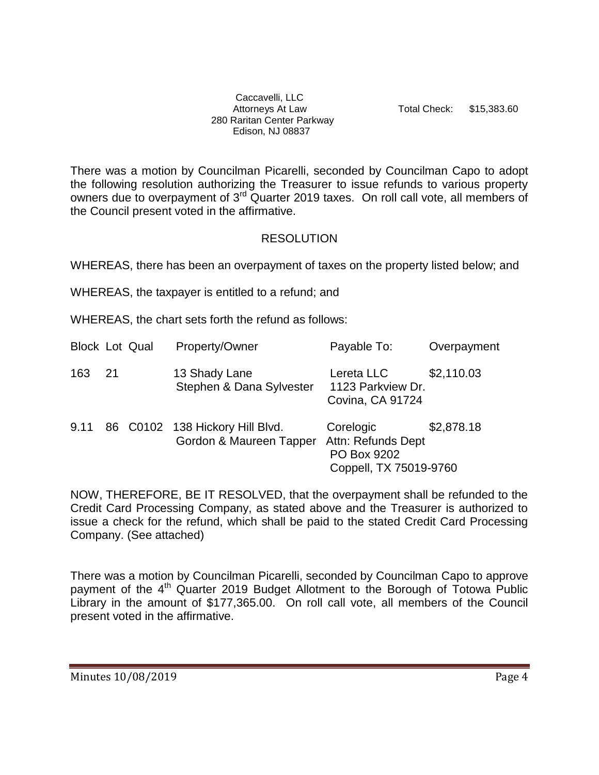Caccavelli, LLC 280 Raritan Center Parkway Edison, NJ 08837

Attorneys At Law Total Check: \$15,383.60

There was a motion by Councilman Picarelli, seconded by Councilman Capo to adopt the following resolution authorizing the Treasurer to issue refunds to various property owners due to overpayment of 3<sup>rd</sup> Quarter 2019 taxes. On roll call vote, all members of the Council present voted in the affirmative.

### RESOLUTION

WHEREAS, there has been an overpayment of taxes on the property listed below; and

WHEREAS, the taxpayer is entitled to a refund; and

WHEREAS, the chart sets forth the refund as follows:

| <b>Block Lot Qual</b> |    | Property/Owner                                             | Payable To:                                                              | Overpayment |
|-----------------------|----|------------------------------------------------------------|--------------------------------------------------------------------------|-------------|
| 163                   | 21 | 13 Shady Lane<br>Stephen & Dana Sylvester                  | Lereta LLC<br>1123 Parkview Dr.<br>Covina, CA 91724                      | \$2,110.03  |
| 9.11                  |    | 86 C0102 138 Hickory Hill Blvd.<br>Gordon & Maureen Tapper | Corelogic<br>Attn: Refunds Dept<br>PO Box 9202<br>Coppell, TX 75019-9760 | \$2,878.18  |

NOW, THEREFORE, BE IT RESOLVED, that the overpayment shall be refunded to the Credit Card Processing Company, as stated above and the Treasurer is authorized to issue a check for the refund, which shall be paid to the stated Credit Card Processing Company. (See attached)

There was a motion by Councilman Picarelli, seconded by Councilman Capo to approve payment of the 4<sup>th</sup> Quarter 2019 Budget Allotment to the Borough of Totowa Public Library in the amount of \$177,365.00. On roll call vote, all members of the Council present voted in the affirmative.

Minutes 10/08/2019 **Page 4**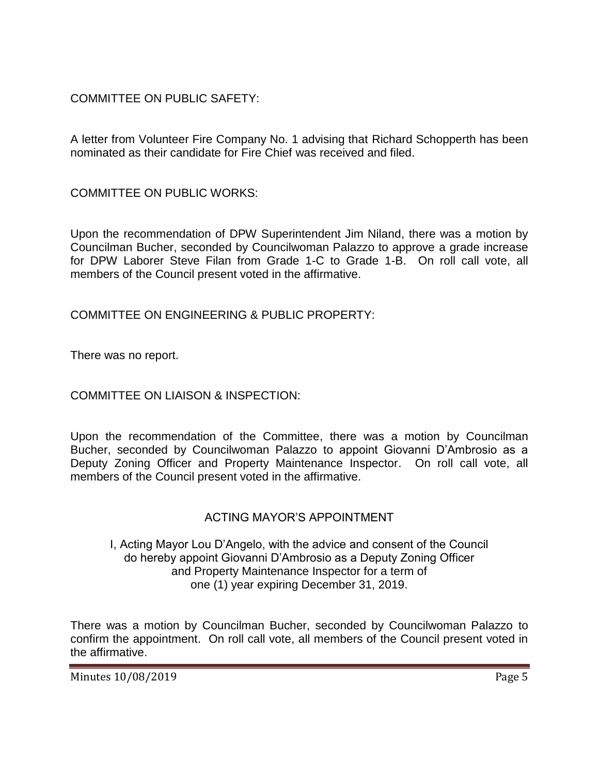# COMMITTEE ON PUBLIC SAFETY:

A letter from Volunteer Fire Company No. 1 advising that Richard Schopperth has been nominated as their candidate for Fire Chief was received and filed.

COMMITTEE ON PUBLIC WORKS:

Upon the recommendation of DPW Superintendent Jim Niland, there was a motion by Councilman Bucher, seconded by Councilwoman Palazzo to approve a grade increase for DPW Laborer Steve Filan from Grade 1-C to Grade 1-B. On roll call vote, all members of the Council present voted in the affirmative.

COMMITTEE ON ENGINEERING & PUBLIC PROPERTY:

There was no report.

COMMITTEE ON LIAISON & INSPECTION:

Upon the recommendation of the Committee, there was a motion by Councilman Bucher, seconded by Councilwoman Palazzo to appoint Giovanni D'Ambrosio as a Deputy Zoning Officer and Property Maintenance Inspector. On roll call vote, all members of the Council present voted in the affirmative.

## ACTING MAYOR'S APPOINTMENT

#### I, Acting Mayor Lou D'Angelo, with the advice and consent of the Council do hereby appoint Giovanni D'Ambrosio as a Deputy Zoning Officer and Property Maintenance Inspector for a term of one (1) year expiring December 31, 2019.

There was a motion by Councilman Bucher, seconded by Councilwoman Palazzo to confirm the appointment. On roll call vote, all members of the Council present voted in the affirmative.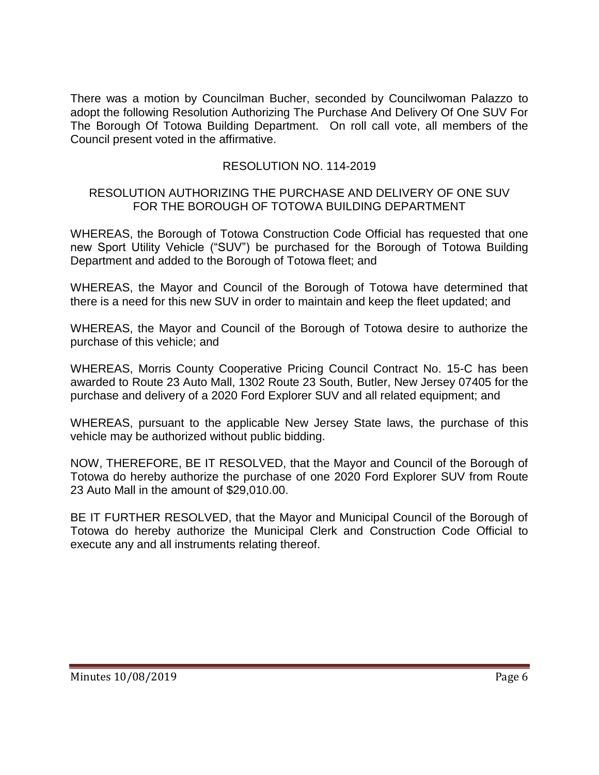There was a motion by Councilman Bucher, seconded by Councilwoman Palazzo to adopt the following Resolution Authorizing The Purchase And Delivery Of One SUV For The Borough Of Totowa Building Department. On roll call vote, all members of the Council present voted in the affirmative.

## RESOLUTION NO. 114-2019

### RESOLUTION AUTHORIZING THE PURCHASE AND DELIVERY OF ONE SUV FOR THE BOROUGH OF TOTOWA BUILDING DEPARTMENT

WHEREAS, the Borough of Totowa Construction Code Official has requested that one new Sport Utility Vehicle ("SUV") be purchased for the Borough of Totowa Building Department and added to the Borough of Totowa fleet; and

WHEREAS, the Mayor and Council of the Borough of Totowa have determined that there is a need for this new SUV in order to maintain and keep the fleet updated; and

WHEREAS, the Mayor and Council of the Borough of Totowa desire to authorize the purchase of this vehicle; and

WHEREAS, Morris County Cooperative Pricing Council Contract No. 15-C has been awarded to Route 23 Auto Mall, 1302 Route 23 South, Butler, New Jersey 07405 for the purchase and delivery of a 2020 Ford Explorer SUV and all related equipment; and

WHEREAS, pursuant to the applicable New Jersey State laws, the purchase of this vehicle may be authorized without public bidding.

NOW, THEREFORE, BE IT RESOLVED, that the Mayor and Council of the Borough of Totowa do hereby authorize the purchase of one 2020 Ford Explorer SUV from Route 23 Auto Mall in the amount of \$29,010.00.

BE IT FURTHER RESOLVED, that the Mayor and Municipal Council of the Borough of Totowa do hereby authorize the Municipal Clerk and Construction Code Official to execute any and all instruments relating thereof.